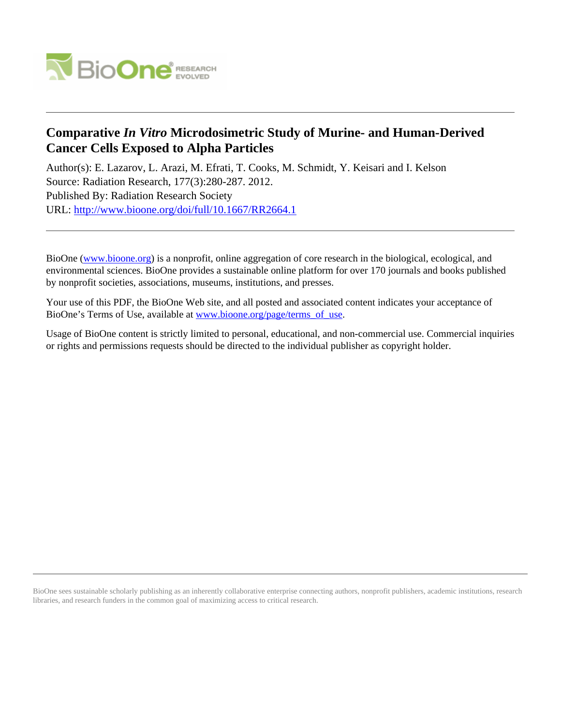

# **Comparative** *In Vitro* **Microdosimetric Study of Murine- and Human-Derived Cancer Cells Exposed to Alpha Particles**

Author(s): E. Lazarov, L. Arazi, M. Efrati, T. Cooks, M. Schmidt, Y. Keisari and I. Kelson Source: Radiation Research, 177(3):280-287. 2012. Published By: Radiation Research Society URL: <http://www.bioone.org/doi/full/10.1667/RR2664.1>

BioOne [\(www.bioone.org\)](http://www.bioone.org) is a nonprofit, online aggregation of core research in the biological, ecological, and environmental sciences. BioOne provides a sustainable online platform for over 170 journals and books published by nonprofit societies, associations, museums, institutions, and presses.

Your use of this PDF, the BioOne Web site, and all posted and associated content indicates your acceptance of BioOne's Terms of Use, available at [www.bioone.org/page/terms\\_of\\_use.](http://www.bioone.org/page/terms_of_use)

Usage of BioOne content is strictly limited to personal, educational, and non-commercial use. Commercial inquiries or rights and permissions requests should be directed to the individual publisher as copyright holder.

BioOne sees sustainable scholarly publishing as an inherently collaborative enterprise connecting authors, nonprofit publishers, academic institutions, research libraries, and research funders in the common goal of maximizing access to critical research.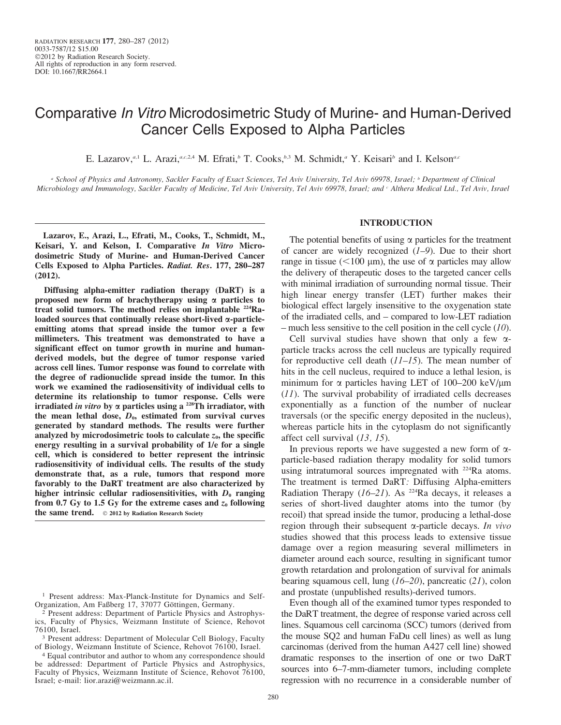# Comparative In Vitro Microdosimetric Study of Murine- and Human-Derived Cancer Cells Exposed to Alpha Particles

E. Lazarov,<sup>a,1</sup> L. Arazi,<sup>a,c,2,4</sup> M. Efrati,<sup>b</sup> T. Cooks, $b$ ,<sup>5</sup> M. Schmidt,<sup>a</sup> Y. Keisari<sup>b</sup> and I. Kelson<sup>a,c</sup>

<sup>a</sup> School of Physics and Astronomy, Sackler Faculty of Exact Sciences, Tel Aviv University, Tel Aviv 69978, Israel; <sup>b</sup> Department of Clinical Microbiology and Immunology, Sackler Faculty of Medicine, Tel Aviv University, Tel Aviv 69978, Israel; and c Althera Medical Ltd., Tel Aviv, Israel

Lazarov, E., Arazi, L., Efrati, M., Cooks, T., Schmidt, M., Keisari, Y. and Kelson, I. Comparative In Vitro Microdosimetric Study of Murine- and Human-Derived Cancer Cells Exposed to Alpha Particles. Radiat. Res. 177, 280–287 (2012).

Diffusing alpha-emitter radiation therapy (DaRT) is a proposed new form of brachytherapy using  $\alpha$  particles to treat solid tumors. The method relies on implantable <sup>224</sup>Raloaded sources that continually release short-lived  $\alpha$ -particleemitting atoms that spread inside the tumor over a few millimeters. This treatment was demonstrated to have a significant effect on tumor growth in murine and humanderived models, but the degree of tumor response varied across cell lines. Tumor response was found to correlate with the degree of radionuclide spread inside the tumor. In this work we examined the radiosensitivity of individual cells to determine its relationship to tumor response. Cells were irradiated in vitro by  $\alpha$  particles using a <sup>228</sup>Th irradiator, with the mean lethal dose,  $D_0$ , estimated from survival curves generated by standard methods. The results were further analyzed by microdosimetric tools to calculate  $z_0$ , the specific energy resulting in a survival probability of 1/e for a single cell, which is considered to better represent the intrinsic radiosensitivity of individual cells. The results of the study demonstrate that, as a rule, tumors that respond more favorably to the DaRT treatment are also characterized by higher intrinsic cellular radiosensitivities, with  $D_0$  ranging from 0.7 Gy to 1.5 Gy for the extreme cases and  $z_0$  following the same trend.  $\circ$  2012 by Radiation Research Society

## INTRODUCTION

The potential benefits of using  $\alpha$  particles for the treatment of cancer are widely recognized  $(1-9)$ . Due to their short range in tissue ( $<$ 100 µm), the use of  $\alpha$  particles may allow the delivery of therapeutic doses to the targeted cancer cells with minimal irradiation of surrounding normal tissue. Their high linear energy transfer (LET) further makes their biological effect largely insensitive to the oxygenation state of the irradiated cells, and – compared to low-LET radiation – much less sensitive to the cell position in the cell cycle  $(10)$ .

Cell survival studies have shown that only a few  $\alpha$ particle tracks across the cell nucleus are typically required for reproductive cell death  $(11–15)$ . The mean number of hits in the cell nucleus, required to induce a lethal lesion, is minimum for  $\alpha$  particles having LET of 100–200 keV/ $\mu$ m (11). The survival probability of irradiated cells decreases exponentially as a function of the number of nuclear traversals (or the specific energy deposited in the nucleus), whereas particle hits in the cytoplasm do not significantly affect cell survival (13, 15).

In previous reports we have suggested a new form of  $\alpha$ particle-based radiation therapy modality for solid tumors using intratumoral sources impregnated with <sup>224</sup>Ra atoms. The treatment is termed DaRT: Diffusing Alpha-emitters Radiation Therapy  $(I6-2I)$ . As <sup>224</sup>Ra decays, it releases a series of short-lived daughter atoms into the tumor (by recoil) that spread inside the tumor, producing a lethal-dose region through their subsequent  $\alpha$ -particle decays. In vivo studies showed that this process leads to extensive tissue damage over a region measuring several millimeters in diameter around each source, resulting in significant tumor growth retardation and prolongation of survival for animals bearing squamous cell, lung (16–20), pancreatic (21), colon and prostate (unpublished results)-derived tumors.

Even though all of the examined tumor types responded to the DaRT treatment, the degree of response varied across cell lines. Squamous cell carcinoma (SCC) tumors (derived from the mouse SQ2 and human FaDu cell lines) as well as lung carcinomas (derived from the human A427 cell line) showed dramatic responses to the insertion of one or two DaRT sources into 6–7-mm-diameter tumors, including complete regression with no recurrence in a considerable number of

<sup>1</sup> Present address: Max-Planck-Institute for Dynamics and Self-Organization, Am Faßberg 17, 37077 Göttingen, Germany.

<sup>2</sup> Present address: Department of Particle Physics and Astrophysics, Faculty of Physics, Weizmann Institute of Science, Rehovot 76100, Israel.

<sup>3</sup> Present address: Department of Molecular Cell Biology, Faculty of Biology, Weizmann Institute of Science, Rehovot 76100, Israel.

<sup>4</sup> Equal contributor and author to whom any correspondence should be addressed: Department of Particle Physics and Astrophysics, Faculty of Physics, Weizmann Institute of Science, Rehovot 76100, Israel; e-mail: lior.arazi@weizmann.ac.il.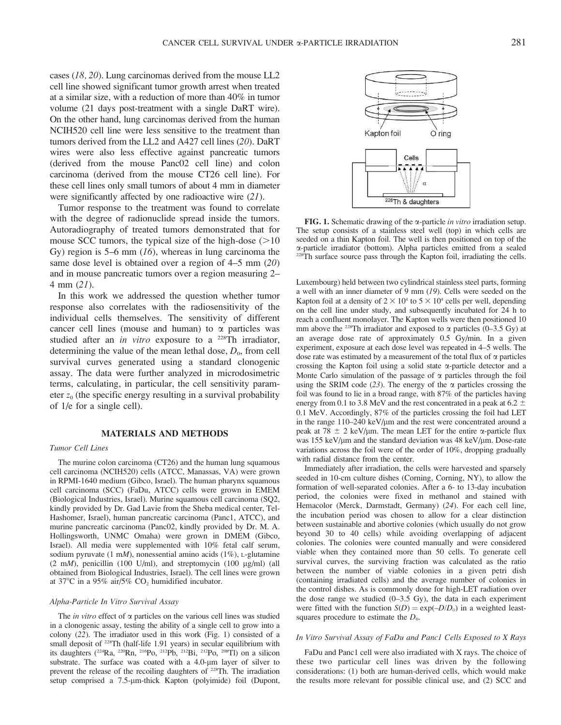cases (18, 20). Lung carcinomas derived from the mouse LL2 cell line showed significant tumor growth arrest when treated at a similar size, with a reduction of more than 40% in tumor volume (21 days post-treatment with a single DaRT wire). On the other hand, lung carcinomas derived from the human NCIH520 cell line were less sensitive to the treatment than tumors derived from the LL2 and A427 cell lines (20). DaRT wires were also less effective against pancreatic tumors (derived from the mouse Panc02 cell line) and colon carcinoma (derived from the mouse CT26 cell line). For these cell lines only small tumors of about 4 mm in diameter were significantly affected by one radioactive wire  $(21)$ .

Tumor response to the treatment was found to correlate with the degree of radionuclide spread inside the tumors. Autoradiography of treated tumors demonstrated that for mouse SCC tumors, the typical size of the high-dose  $(>10$ Gy) region is 5–6 mm  $(16)$ , whereas in lung carcinoma the same dose level is obtained over a region of 4–5 mm (20) and in mouse pancreatic tumors over a region measuring 2– 4 mm (21).

In this work we addressed the question whether tumor response also correlates with the radiosensitivity of the individual cells themselves. The sensitivity of different cancer cell lines (mouse and human) to  $\alpha$  particles was studied after an in vitro exposure to a <sup>228</sup>Th irradiator, determining the value of the mean lethal dose,  $D_0$ , from cell survival curves generated using a standard clonogenic assay. The data were further analyzed in microdosimetric terms, calculating, in particular, the cell sensitivity parameter  $z_0$  (the specific energy resulting in a survival probability of 1/e for a single cell).

## MATERIALS AND METHODS

#### Tumor Cell Lines

The murine colon carcinoma (CT26) and the human lung squamous cell carcinoma (NCIH520) cells (ATCC, Manassas, VA) were grown in RPMI-1640 medium (Gibco, Israel). The human pharynx squamous cell carcinoma (SCC) (FaDu, ATCC) cells were grown in EMEM (Biological Industries, Israel). Murine squamous cell carcinoma (SQ2, kindly provided by Dr. Gad Lavie from the Sheba medical center, Tel-Hashomer, Israel), human pancreatic carcinoma (Panc1, ATCC), and murine pancreatic carcinoma (Panc02, kindly provided by Dr. M. A. Hollingsworth, UNMC Omaha) were grown in DMEM (Gibco, Israel). All media were supplemented with 10% fetal calf serum, sodium pyruvate (1 mM), nonessential amino acids (1%), L-glutamine (2 mM), penicillin (100 U/ml), and streptomycin (100  $\mu$ g/ml) (all obtained from Biological Industries, Israel). The cell lines were grown at 37 $\degree$ C in a 95% air/5% CO<sub>2</sub> humidified incubator.

#### Alpha-Particle In Vitro Survival Assay

The *in vitro* effect of  $\alpha$  particles on the various cell lines was studied in a clonogenic assay, testing the ability of a single cell to grow into a colony (22). The irradiator used in this work (Fig. 1) consisted of a small deposit of <sup>228</sup>Th (half-life 1.91 years) in secular equilibrium with its daughters ( $^{224}$ Ra,  $^{220}$ Rn,  $^{216}$ Po,  $^{212}$ Pb,  $^{212}$ Bi,  $^{212}$ Po,  $^{208}$ Tl) on a silicon substrate. The surface was coated with a 4.0-um layer of silver to prevent the release of the recoiling daughters of <sup>228</sup>Th. The irradiation setup comprised a 7.5-µm-thick Kapton (polyimide) foil (Dupont,



FIG. 1. Schematic drawing of the  $\alpha$ -particle in vitro irradiation setup. The setup consists of a stainless steel well (top) in which cells are seeded on a thin Kapton foil. The well is then positioned on top of the a-particle irradiator (bottom). Alpha particles emitted from a sealed  $228^{\circ}$ Th surface source pass through the Kapton foil, irradiating the cells.

Luxembourg) held between two cylindrical stainless steel parts, forming a well with an inner diameter of 9 mm (19). Cells were seeded on the Kapton foil at a density of  $2 \times 10^4$  to  $5 \times 10^4$  cells per well, depending on the cell line under study, and subsequently incubated for 24 h to reach a confluent monolayer. The Kapton wells were then positioned 10 mm above the <sup>228</sup>Th irradiator and exposed to  $\alpha$  particles (0–3.5 Gy) at an average dose rate of approximately 0.5 Gy/min. In a given experiment, exposure at each dose level was repeated in 4–5 wells. The dose rate was estimated by a measurement of the total flux of  $\alpha$  particles crossing the Kapton foil using a solid state a-particle detector and a Monte Carlo simulation of the passage of  $\alpha$  particles through the foil using the SRIM code (23). The energy of the  $\alpha$  particles crossing the foil was found to lie in a broad range, with 87% of the particles having energy from 0.1 to 3.8 MeV and the rest concentrated in a peak at 6.2  $\pm$ 0.1 MeV. Accordingly, 87% of the particles crossing the foil had LET in the range 110–240 keV/µm and the rest were concentrated around a peak at 78  $\pm$  2 keV/µm. The mean LET for the entire  $\alpha$ -particle flux was 155 keV/µm and the standard deviation was 48 keV/µm. Dose-rate variations across the foil were of the order of 10%, dropping gradually with radial distance from the center.

Immediately after irradiation, the cells were harvested and sparsely seeded in 10-cm culture dishes (Corning, Corning, NY), to allow the formation of well-separated colonies. After a 6- to 13-day incubation period, the colonies were fixed in methanol and stained with Hemacolor (Merck, Darmstadt, Germany) (24). For each cell line, the incubation period was chosen to allow for a clear distinction between sustainable and abortive colonies (which usually do not grow beyond 30 to 40 cells) while avoiding overlapping of adjacent colonies. The colonies were counted manually and were considered viable when they contained more than 50 cells. To generate cell survival curves, the surviving fraction was calculated as the ratio between the number of viable colonies in a given petri dish (containing irradiated cells) and the average number of colonies in the control dishes. As is commonly done for high-LET radiation over the dose range we studied  $(0-3.5 \text{ Gy})$ , the data in each experiment were fitted with the function  $S(D) = \exp(-D/D_0)$  in a weighted leastsquares procedure to estimate the  $D_0$ .

## In Vitro Survival Assay of FaDu and Panc1 Cells Exposed to X Rays

FaDu and Panc1 cell were also irradiated with X rays. The choice of these two particular cell lines was driven by the following considerations: (1) both are human-derived cells, which would make the results more relevant for possible clinical use, and (2) SCC and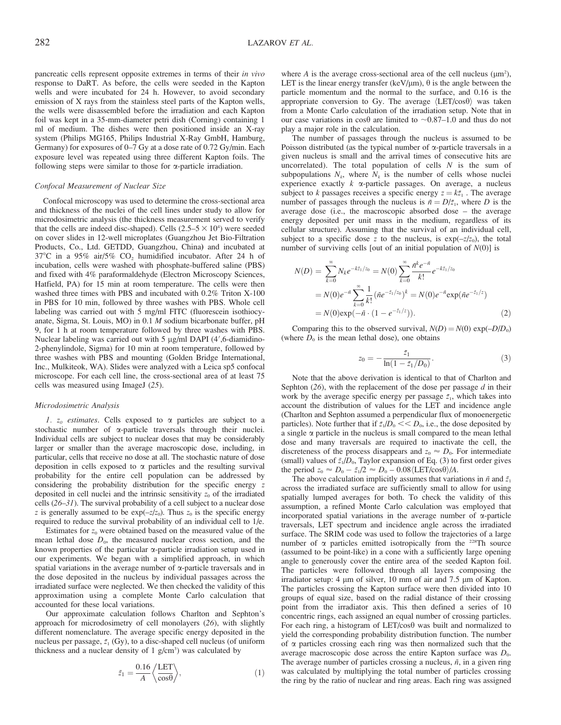pancreatic cells represent opposite extremes in terms of their in vivo response to DaRT. As before, the cells were seeded in the Kapton wells and were incubated for 24 h. However, to avoid secondary emission of X rays from the stainless steel parts of the Kapton wells, the wells were disassembled before the irradiation and each Kapton foil was kept in a 35-mm-diameter petri dish (Corning) containing 1 ml of medium. The dishes were then positioned inside an X-ray system (Philips MG165, Philips Industrial X-Ray GmbH, Hamburg, Germany) for exposures of 0–7 Gy at a dose rate of 0.72 Gy/min. Each exposure level was repeated using three different Kapton foils. The following steps were similar to those for  $\alpha$ -particle irradiation.

#### Confocal Measurement of Nuclear Size

Confocal microscopy was used to determine the cross-sectional area and thickness of the nuclei of the cell lines under study to allow for microdosimetric analysis (the thickness measurement served to verify that the cells are indeed disc-shaped). Cells  $(2.5-5 \times 10^4)$  were seeded on cover slides in 12-well microplates (Guangzhou Jet Bio-Filtration Products, Co., Ltd. GETDD, Guangzhou, China) and incubated at  $37^{\circ}$ C in a  $95\%$  air/ $5\%$  CO<sub>2</sub> humidified incubator. After 24 h of incubation, cells were washed with phosphate-buffered saline (PBS) and fixed with 4% paraformaldehyde (Electron Microscopy Sciences, Hatfield, PA) for 15 min at room temperature. The cells were then washed three times with PBS and incubated with 0.2% Triton X-100 in PBS for 10 min, followed by three washes with PBS. Whole cell labeling was carried out with 5 mg/ml FITC (fluorescein isothiocyanate, Sigma, St. Louis, MO) in 0.1 M sodium bicarbonate buffer, pH 9, for 1 h at room temperature followed by three washes with PBS. Nuclear labeling was carried out with 5 µg/ml DAPI (4',6-diamidino-2-phenylindole, Sigma) for 10 min at room temperature, followed by three washes with PBS and mounting (Golden Bridge International, Inc., Mulkiteok, WA). Slides were analyzed with a Leica sp5 confocal microscope. For each cell line, the cross-sectional area of at least 75 cells was measured using ImageJ (25).

#### Microdosimetric Analysis

1.  $z_0$  estimates. Cells exposed to  $\alpha$  particles are subject to a stochastic number of a-particle traversals through their nuclei. Individual cells are subject to nuclear doses that may be considerably larger or smaller than the average macroscopic dose, including, in particular, cells that receive no dose at all. The stochastic nature of dose deposition in cells exposed to  $\alpha$  particles and the resulting survival probability for the entire cell population can be addressed by considering the probability distribution for the specific energy z deposited in cell nuclei and the intrinsic sensitivity  $z_0$  of the irradiated cells (26–31). The survival probability of a cell subject to a nuclear dose z is generally assumed to be  $exp(-z/z_0)$ . Thus  $z_0$  is the specific energy required to reduce the survival probability of an individual cell to 1/e.

Estimates for  $z_0$  were obtained based on the measured value of the mean lethal dose  $D_0$ , the measured nuclear cross section, and the known properties of the particular a-particle irradiation setup used in our experiments. We began with a simplified approach, in which spatial variations in the average number of  $\alpha$ -particle traversals and in the dose deposited in the nucleus by individual passages across the irradiated surface were neglected. We then checked the validity of this approximation using a complete Monte Carlo calculation that accounted for these local variations.

Our approximate calculation follows Charlton and Sephton's approach for microdosimetry of cell monolayers (26), with slightly different nomenclature. The average specific energy deposited in the nucleus per passage,  $\bar{z}_1$  (Gy), to a disc-shaped cell nucleus (of uniform thickness and a nuclear density of  $1$  g/cm<sup>3</sup>) was calculated by

$$
\bar{z}_1 = \frac{0.16}{A} \left\langle \frac{\text{LET}}{\cos \theta} \right\rangle,\tag{1}
$$

where  $A$  is the average cross-sectional area of the cell nucleus ( $\mu$ m<sup>2</sup>), LET is the linear energy transfer (keV/ $\mu$ m),  $\theta$  is the angle between the particle momentum and the normal to the surface, and 0.16 is the appropriate conversion to Gy. The average  $\langle \text{LET/cos}\theta \rangle$  was taken from a Monte Carlo calculation of the irradiation setup. Note that in our case variations in  $\cos\theta$  are limited to ~0.87–1.0 and thus do not play a major role in the calculation.

The number of passages through the nucleus is assumed to be Poisson distributed (as the typical number of  $\alpha$ -particle traversals in a given nucleus is small and the arrival times of consecutive hits are uncorrelated). The total population of cells  $N$  is the sum of subpopulations  $N_k$ , where  $N_k$  is the number of cells whose nuclei experience exactly  $k$   $\alpha$ -particle passages. On average, a nucleus subject to k passages receives a specific energy  $z = k\bar{z}_1$ . The average number of passages through the nucleus is  $\bar{n} = D/\bar{z}_1$ , where D is the average dose (i.e., the macroscopic absorbed dose – the average energy deposited per unit mass in the medium, regardless of its cellular structure). Assuming that the survival of an individual cell, subject to a specific dose z to the nucleus, is  $exp(-z/z_0)$ , the total number of surviving cells [out of an initial population of  $N(0)$ ] is

$$
N(D) = \sum_{k=0}^{\infty} N_k e^{-k\bar{z}_1/z_0} = N(0) \sum_{k=0}^{\infty} \frac{\bar{n}^k e^{-\bar{n}}}{k!} e^{-k\bar{z}_1/z_0}
$$
  
=  $N(0)e^{-\bar{n}} \sum_{k=0}^{\infty} \frac{1}{k!} (\bar{n}e^{-\bar{z}_1/z_0})^k = N(0)e^{-\bar{n}} \exp(\bar{n}e^{-\bar{z}_1/z})$   
=  $N(0)\exp(-\bar{n} \cdot (1 - e^{-\bar{z}_1/z})).$  (2)

Comparing this to the observed survival,  $N(D) = N(0) \exp(-D/D_0)$ (where  $D_0$  is the mean lethal dose), one obtains

$$
z_0 = -\frac{\bar{z}_1}{\ln(1 - \bar{z}_1/D_0)}.\tag{3}
$$

Note that the above derivation is identical to that of Charlton and Sephton  $(26)$ , with the replacement of the dose per passage d in their work by the average specific energy per passage  $\bar{z}_1$ , which takes into account the distribution of values for the LET and incidence angle (Charlton and Sephton assumed a perpendicular flux of monoenergetic particles). Note further that if  $\bar{z_1}/\bar{D_0} \ll D_0$ , i.e., the dose deposited by a single  $\alpha$  particle in the nucleus is small compared to the mean lethal dose and many traversals are required to inactivate the cell, the discreteness of the process disappears and  $z_0 \approx D_0$ . For intermediate (small) values of  $\bar{z_1}/D_0$ , Taylor expansion of Eq. (3) to first order gives the period  $z_0 \approx D_0 - \bar{z}_1/2 \approx D_0 - 0.08 \langle \text{LET/cos}\theta \rangle / A$ .

The above calculation implicitly assumes that variations in  $\bar{n}$  and  $\bar{z}_1$ across the irradiated surface are sufficiently small to allow for using spatially lumped averages for both. To check the validity of this assumption, a refined Monte Carlo calculation was employed that incorporated spatial variations in the average number of  $\alpha$ -particle traversals, LET spectrum and incidence angle across the irradiated surface. The SRIM code was used to follow the trajectories of a large number of  $\alpha$  particles emitted isotropically from the <sup>228</sup>Th source (assumed to be point-like) in a cone with a sufficiently large opening angle to generously cover the entire area of the seeded Kapton foil. The particles were followed through all layers composing the irradiator setup: 4  $\mu$ m of silver, 10 mm of air and 7.5  $\mu$ m of Kapton. The particles crossing the Kapton surface were then divided into 10 groups of equal size, based on the radial distance of their crossing point from the irradiator axis. This then defined a series of 10 concentric rings, each assigned an equal number of crossing particles. For each ring, a histogram of  $LET/cos\theta$  was built and normalized to yield the corresponding probability distribution function. The number of  $\alpha$  particles crossing each ring was then normalized such that the average macroscopic dose across the entire Kapton surface was  $D_0$ . The average number of particles crossing a nucleus,  $\bar{n}$ , in a given ring was calculated by multiplying the total number of particles crossing the ring by the ratio of nuclear and ring areas. Each ring was assigned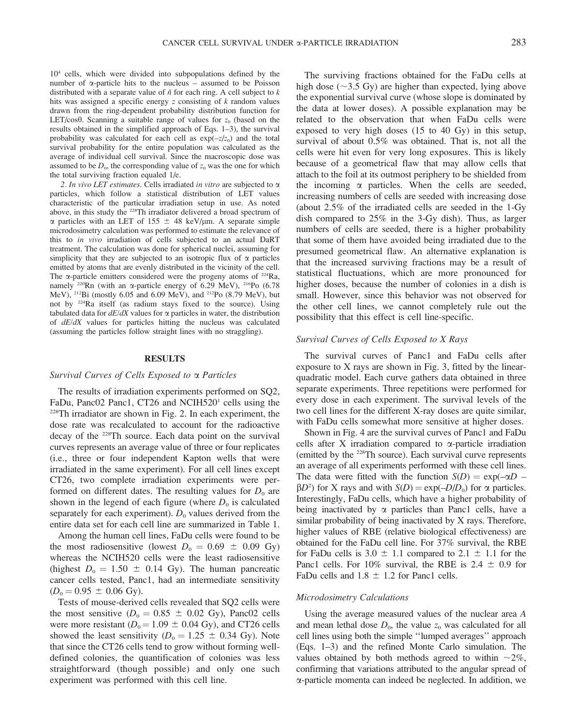104 cells, which were divided into subpopulations defined by the number of  $\alpha$ -particle hits to the nucleus – assumed to be Poisson distributed with a separate value of  $\bar{n}$  for each ring. A cell subject to k hits was assigned a specific energy z consisting of  $k$  random values drawn from the ring-dependent probability distribution function for LET/cos $\theta$ . Scanning a suitable range of values for  $z_0$  (based on the results obtained in the simplified approach of Eqs. 1–3), the survival probability was calculated for each cell as  $exp(-z/z_0)$  and the total survival probability for the entire population was calculated as the average of individual cell survival. Since the macroscopic dose was assumed to be  $D_0$ , the corresponding value of  $z_0$  was the one for which the total surviving fraction equaled 1/e.

2. In vivo LET estimates. Cells irradiated in vitro are subjected to  $\alpha$ particles, which follow a statistical distribution of LET values characteristic of the particular irradiation setup in use. As noted above, in this study the 228Th irradiator delivered a broad spectrum of  $\alpha$  particles with an LET of 155  $\pm$  48 keV/µm. A separate simple microdosimetry calculation was performed to estimate the relevance of this to in vivo irradiation of cells subjected to an actual DaRT treatment. The calculation was done for spherical nuclei, assuming for simplicity that they are subjected to an isotropic flux of  $\alpha$  particles emitted by atoms that are evenly distributed in the vicinity of the cell. The  $\alpha$ -particle emitters considered were the progeny atoms of <sup>224</sup>Ra, namely <sup>220</sup>Rn (with an  $\alpha$ -particle energy of 6.29 MeV), <sup>216</sup>Po (6.78 MeV), 212Bi (mostly 6.05 and 6.09 MeV), and 212Po (8.79 MeV), but not by 224Ra itself (as radium stays fixed to the source). Using tabulated data for  $dE/dX$  values for  $\alpha$  particles in water, the distribution of dE/dX values for particles hitting the nucleus was calculated (assuming the particles follow straight lines with no straggling).

#### RESULTS

### Survival Curves of Cells Exposed to a Particles

The results of irradiation experiments performed on SQ2, FaDu, Panc02 Panc1, CT26 and NCIH520<sup>1</sup> cells using the  $228$ Th irradiator are shown in Fig. 2. In each experiment, the dose rate was recalculated to account for the radioactive decay of the 228Th source. Each data point on the survival curves represents an average value of three or four replicates (i.e., three or four independent Kapton wells that were irradiated in the same experiment). For all cell lines except CT26, two complete irradiation experiments were performed on different dates. The resulting values for  $D_0$  are shown in the legend of each figure (where  $D_0$  is calculated separately for each experiment).  $D_0$  values derived from the entire data set for each cell line are summarized in Table 1.

Among the human cell lines, FaDu cells were found to be the most radiosensitive (lowest  $D_0 = 0.69 \pm 0.09$  Gy) whereas the NCIH520 cells were the least radiosensitive (highest  $D_0 = 1.50 \pm 0.14$  Gy). The human pancreatic cancer cells tested, Panc1, had an intermediate sensitivity  $(D_0 = 0.95 \pm 0.06 \text{ Gy}).$ 

Tests of mouse-derived cells revealed that SQ2 cells were the most sensitive ( $D_0 = 0.85 \pm 0.02$  Gy), Panc02 cells were more resistant ( $D_0 = 1.09 \pm 0.04$  Gy), and CT26 cells showed the least sensitivity ( $D_0 = 1.25 \pm 0.34$  Gy). Note that since the CT26 cells tend to grow without forming welldefined colonies, the quantification of colonies was less straightforward (though possible) and only one such experiment was performed with this cell line.

The surviving fractions obtained for the FaDu cells at high dose ( $\sim$ 3.5 Gy) are higher than expected, lying above the exponential survival curve (whose slope is dominated by the data at lower doses). A possible explanation may be related to the observation that when FaDu cells were exposed to very high doses (15 to 40 Gy) in this setup, survival of about 0.5% was obtained. That is, not all the cells were hit even for very long exposures. This is likely because of a geometrical flaw that may allow cells that attach to the foil at its outmost periphery to be shielded from the incoming  $\alpha$  particles. When the cells are seeded, increasing numbers of cells are seeded with increasing dose (about 2.5% of the irradiated cells are seeded in the 1-Gy dish compared to 25% in the 3-Gy dish). Thus, as larger numbers of cells are seeded, there is a higher probability that some of them have avoided being irradiated due to the presumed geometrical flaw. An alternative explanation is that the increased surviving fractions may be a result of statistical fluctuations, which are more pronounced for higher doses, because the number of colonies in a dish is small. However, since this behavior was not observed for the other cell lines, we cannot completely rule out the possibility that this effect is cell line-specific.

## Survival Curves of Cells Exposed to X Rays

The survival curves of Panc1 and FaDu cells after exposure to X rays are shown in Fig. 3, fitted by the linearquadratic model. Each curve gathers data obtained in three separate experiments. Three repetitions were performed for every dose in each experiment. The survival levels of the two cell lines for the different X-ray doses are quite similar, with FaDu cells somewhat more sensitive at higher doses.

Shown in Fig. 4 are the survival curves of Panc1 and FaDu cells after X irradiation compared to  $\alpha$ -particle irradiation (emitted by the 228Th source). Each survival curve represents an average of all experiments performed with these cell lines. The data were fitted with the function  $S(D) = \exp(-\alpha D \beta D^2$ ) for X rays and with  $S(D) = \exp(-D/D_0)$  for  $\alpha$  particles. Interestingly, FaDu cells, which have a higher probability of being inactivated by  $\alpha$  particles than Panc1 cells, have a similar probability of being inactivated by X rays. Therefore, higher values of RBE (relative biological effectiveness) are obtained for the FaDu cell line. For 37% survival, the RBE for FaDu cells is  $3.0 \pm 1.1$  compared to  $2.1 \pm 1.1$  for the Panc1 cells. For 10% survival, the RBE is 2.4  $\pm$  0.9 for FaDu cells and  $1.8 \pm 1.2$  for Panc1 cells.

### Microdosimetry Calculations

Using the average measured values of the nuclear area A and mean lethal dose  $D_0$ , the value  $z_0$  was calculated for all cell lines using both the simple ''lumped averages'' approach (Eqs. 1–3) and the refined Monte Carlo simulation. The values obtained by both methods agreed to within  $\sim 2\%$ , confirming that variations attributed to the angular spread of a-particle momenta can indeed be neglected. In addition, we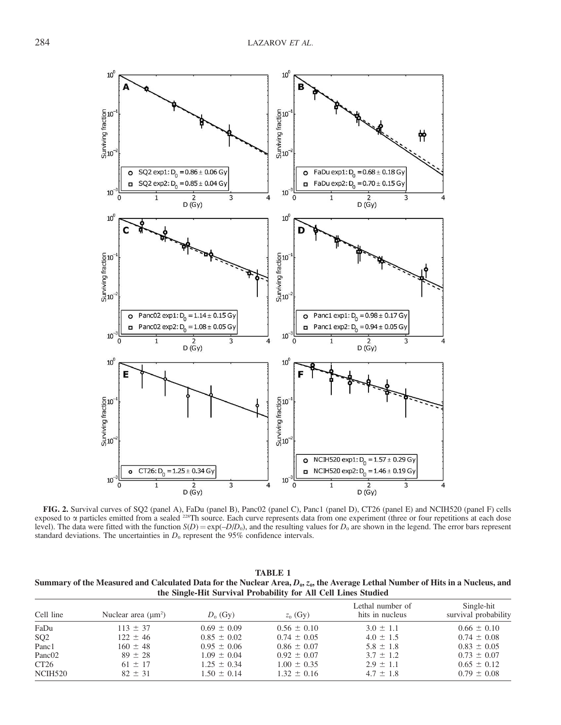

FIG. 2. Survival curves of SQ2 (panel A), FaDu (panel B), Panc02 (panel C), Panc1 (panel D), CT26 (panel E) and NCIH520 (panel F) cells exposed to  $\alpha$  particles emitted from a sealed <sup>228</sup>Th source. Each curve represents data from one experiment (three or four repetitions at each dose level). The data were fitted with the function  $S(D) = \exp(-D/D_0)$ , and the resulting values for  $D_0$  are shown in the legend. The error bars represent standard deviations. The uncertainties in  $D_0$  represent the 95% confidence intervals.

| TABLE 1                                                                                                                               |
|---------------------------------------------------------------------------------------------------------------------------------------|
| Summary of the Measured and Calculated Data for the Nuclear Area, $D_0$ , $z_0$ , the Average Lethal Number of Hits in a Nucleus, and |
| the Single-Hit Survival Probability for All Cell Lines Studied                                                                        |

| Cell line           | Nuclear area $(\mu m^2)$ | $D_0$ (Gy)      | $z_0$ (Gy)      | Lethal number of<br>hits in nucleus | Single-hit<br>survival probability |
|---------------------|--------------------------|-----------------|-----------------|-------------------------------------|------------------------------------|
| FaDu                | $113 \pm 37$             | $0.69 \pm 0.09$ | $0.56 \pm 0.10$ | $3.0 \pm 1.1$                       | $0.66 \pm 0.10$                    |
| SQ <sub>2</sub>     | $122 \pm 46$             | $0.85 \pm 0.02$ | $0.74 \pm 0.05$ | $4.0 \pm 1.5$                       | $0.74 \pm 0.08$                    |
| Panc1               | $160 \pm 48$             | $0.95 \pm 0.06$ | $0.86 \pm 0.07$ | $5.8 \pm 1.8$                       | $0.83 \pm 0.05$                    |
| Panc <sub>02</sub>  | $89 \pm 28$              | $1.09 \pm 0.04$ | $0.92 \pm 0.07$ | $3.7 \pm 1.2$                       | $0.73 \pm 0.07$                    |
| CT <sub>26</sub>    | $61 \pm 17$              | $1.25 \pm 0.34$ | $1.00 \pm 0.35$ | $2.9 \pm 1.1$                       | $0.65 \pm 0.12$                    |
| NCIH <sub>520</sub> | $82 \pm 31$              | $1.50 \pm 0.14$ | $1.32 \pm 0.16$ | $4.7 \pm 1.8$                       | $0.79 \pm 0.08$                    |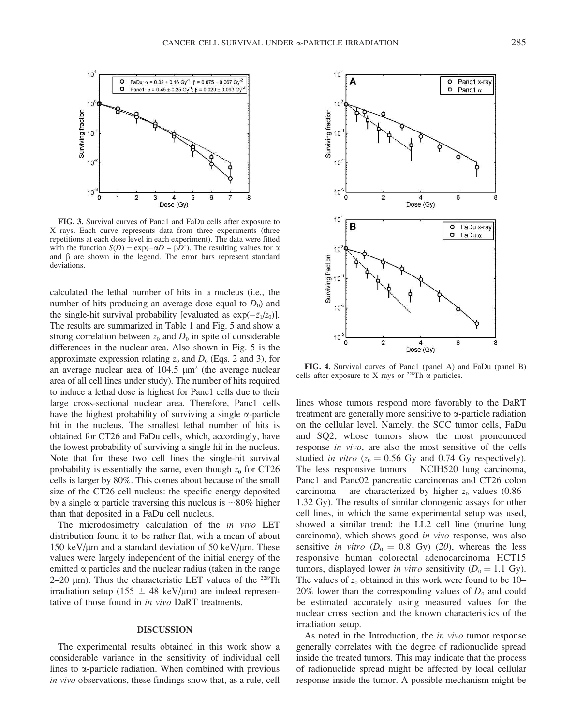

FIG. 3. Survival curves of Panc1 and FaDu cells after exposure to X rays. Each curve represents data from three experiments (three repetitions at each dose level in each experiment). The data were fitted with the function  $S(D) = \exp(-\alpha D - \beta D^2)$ . The resulting values for  $\alpha$ and  $\beta$  are shown in the legend. The error bars represent standard deviations.

calculated the lethal number of hits in a nucleus (i.e., the number of hits producing an average dose equal to  $D_0$ ) and the single-hit survival probability [evaluated as  $exp(-\bar{z_1}/z_0)$ ]. The results are summarized in Table 1 and Fig. 5 and show a strong correlation between  $z_0$  and  $D_0$  in spite of considerable differences in the nuclear area. Also shown in Fig. 5 is the approximate expression relating  $z_0$  and  $D_0$  (Eqs. 2 and 3), for an average nuclear area of  $104.5 \mu m^2$  (the average nuclear area of all cell lines under study). The number of hits required to induce a lethal dose is highest for Panc1 cells due to their large cross-sectional nuclear area. Therefore, Panc1 cells have the highest probability of surviving a single  $\alpha$ -particle hit in the nucleus. The smallest lethal number of hits is obtained for CT26 and FaDu cells, which, accordingly, have the lowest probability of surviving a single hit in the nucleus. Note that for these two cell lines the single-hit survival probability is essentially the same, even though  $z_0$  for CT26 cells is larger by 80%. This comes about because of the small size of the CT26 cell nucleus: the specific energy deposited by a single  $\alpha$  particle traversing this nucleus is  $\sim$ 80% higher than that deposited in a FaDu cell nucleus.

The microdosimetry calculation of the *in vivo* LET distribution found it to be rather flat, with a mean of about 150 keV/ $\mu$ m and a standard deviation of 50 keV/ $\mu$ m. These values were largely independent of the initial energy of the emitted  $\alpha$  particles and the nuclear radius (taken in the range 2–20  $\mu$ m). Thus the characteristic LET values of the <sup>228</sup>Th irradiation setup (155  $\pm$  48 keV/µm) are indeed representative of those found in in vivo DaRT treatments.

### DISCUSSION

The experimental results obtained in this work show a considerable variance in the sensitivity of individual cell lines to  $\alpha$ -particle radiation. When combined with previous in vivo observations, these findings show that, as a rule, cell



FIG. 4. Survival curves of Panc1 (panel A) and FaDu (panel B) cells after exposure to X rays or  $^{228}$ Th  $\alpha$  particles.

lines whose tumors respond more favorably to the DaRT treatment are generally more sensitive to  $\alpha$ -particle radiation on the cellular level. Namely, the SCC tumor cells, FaDu and SQ2, whose tumors show the most pronounced response in vivo, are also the most sensitive of the cells studied *in vitro* ( $z_0 = 0.56$  Gy and 0.74 Gy respectively). The less responsive tumors – NCIH520 lung carcinoma, Panc1 and Panc02 pancreatic carcinomas and CT26 colon carcinoma – are characterized by higher  $z_0$  values (0.86– 1.32 Gy). The results of similar clonogenic assays for other cell lines, in which the same experimental setup was used, showed a similar trend: the LL2 cell line (murine lung carcinoma), which shows good in vivo response, was also sensitive in vitro ( $D_0 = 0.8$  Gy) (20), whereas the less responsive human colorectal adenocarcinoma HCT15 tumors, displayed lower in vitro sensitivity ( $D_0 = 1.1$  Gy). The values of  $z_0$  obtained in this work were found to be 10– 20% lower than the corresponding values of  $D_0$  and could be estimated accurately using measured values for the nuclear cross section and the known characteristics of the irradiation setup.

As noted in the Introduction, the *in vivo* tumor response generally correlates with the degree of radionuclide spread inside the treated tumors. This may indicate that the process of radionuclide spread might be affected by local cellular response inside the tumor. A possible mechanism might be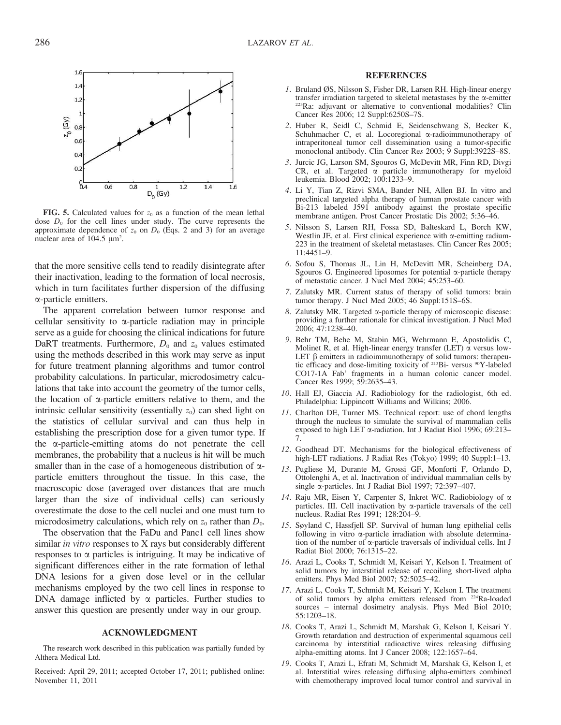

**FIG. 5.** Calculated values for  $z_0$  as a function of the mean lethal dose  $D_0$  for the cell lines under study. The curve represents the approximate dependence of  $z_0$  on  $D_0$  (Eqs. 2 and 3) for an average nuclear area of  $104.5 \mu m^2$ .

that the more sensitive cells tend to readily disintegrate after their inactivation, leading to the formation of local necrosis, which in turn facilitates further dispersion of the diffusing a-particle emitters.

The apparent correlation between tumor response and cellular sensitivity to  $\alpha$ -particle radiation may in principle serve as a guide for choosing the clinical indications for future DaRT treatments. Furthermore,  $D_0$  and  $z_0$  values estimated using the methods described in this work may serve as input for future treatment planning algorithms and tumor control probability calculations. In particular, microdosimetry calculations that take into account the geometry of the tumor cells, the location of  $\alpha$ -particle emitters relative to them, and the intrinsic cellular sensitivity (essentially  $z_0$ ) can shed light on the statistics of cellular survival and can thus help in establishing the prescription dose for a given tumor type. If the  $\alpha$ -particle-emitting atoms do not penetrate the cell membranes, the probability that a nucleus is hit will be much smaller than in the case of a homogeneous distribution of  $\alpha$ particle emitters throughout the tissue. In this case, the macroscopic dose (averaged over distances that are much larger than the size of individual cells) can seriously overestimate the dose to the cell nuclei and one must turn to microdosimetry calculations, which rely on  $z_0$  rather than  $D_0$ .

The observation that the FaDu and Panc1 cell lines show similar in vitro responses to X rays but considerably different responses to  $\alpha$  particles is intriguing. It may be indicative of significant differences either in the rate formation of lethal DNA lesions for a given dose level or in the cellular mechanisms employed by the two cell lines in response to DNA damage inflicted by  $\alpha$  particles. Further studies to answer this question are presently under way in our group.

### ACKNOWLEDGMENT

The research work described in this publication was partially funded by Althera Medical Ltd.

Received: April 29, 2011; accepted October 17, 2011; published online: November 11, 2011

### **REFERENCES**

- 1. Bruland ØS, Nilsson S, Fisher DR, Larsen RH. High-linear energy transfer irradiation targeted to skeletal metastases by the  $\alpha$ -emitter <sup>223</sup>Ra: adjuvant or alternative to conventional modalities? Clin Cancer Res 2006; 12 Suppl:6250S–7S.
- 2. Huber R, Seidl C, Schmid E, Seidenschwang S, Becker K, Schuhmacher C, et al. Locoregional  $\alpha$ -radioimmunotherapy of intraperitoneal tumor cell dissemination using a tumor-specific monoclonal antibody. Clin Cancer Res 2003; 9 Suppl:3922S–8S.
- 3. Jurcic JG, Larson SM, Sgouros G, McDevitt MR, Finn RD, Divgi CR, et al. Targeted  $\alpha$  particle immunotherapy for myeloid leukemia. Blood 2002; 100:1233–9.
- 4. Li Y, Tian Z, Rizvi SMA, Bander NH, Allen BJ. In vitro and preclinical targeted alpha therapy of human prostate cancer with Bi-213 labeled J591 antibody against the prostate specific membrane antigen. Prost Cancer Prostatic Dis 2002; 5:36–46.
- 5. Nilsson S, Larsen RH, Fossa SD, Balteskard L, Borch KW, Westlin JE, et al. First clinical experience with  $\alpha$ -emitting radium-223 in the treatment of skeletal metastases. Clin Cancer Res 2005; 11:4451–9.
- 6. Sofou S, Thomas JL, Lin H, McDevitt MR, Scheinberg DA, Sgouros G. Engineered liposomes for potential  $\alpha$ -particle therapy of metastatic cancer. J Nucl Med 2004; 45:253–60.
- 7. Zalutsky MR. Current status of therapy of solid tumors: brain tumor therapy. J Nucl Med 2005; 46 Suppl:151S–6S.
- 8. Zalutsky MR. Targeted  $\alpha$ -particle therapy of microscopic disease: providing a further rationale for clinical investigation. J Nucl Med 2006; 47:1238–40.
- 9. Behr TM, Behe M, Stabin MG, Wehrmann E, Apostolidis C, Molinet R, et al. High-linear energy transfer (LET)  $\alpha$  versus low-LET  $\beta$  emitters in radioimmunotherapy of solid tumors: therapeutic efficacy and dose-limiting toxicity of <sup>213</sup>Bi- versus <sup>90</sup>Y-labeled CO17-1A Fab' fragments in a human colonic cancer model. Cancer Res 1999; 59:2635-43.
- 10. Hall EJ, Giaccia AJ. Radiobiology for the radiologist, 6th ed. Philadelphia: Lippincott Williams and Wilkins; 2006.
- 11. Charlton DE, Turner MS. Technical report: use of chord lengths through the nucleus to simulate the survival of mammalian cells exposed to high LET a-radiation. Int J Radiat Biol 1996; 69:213– 7.
- 12. Goodhead DT. Mechanisms for the biological effectiveness of high-LET radiations. J Radiat Res (Tokyo) 1999; 40 Suppl:1–13.
- 13. Pugliese M, Durante M, Grossi GF, Monforti F, Orlando D, Ottolenghi A, et al. Inactivation of individual mammalian cells by single a-particles. Int J Radiat Biol 1997; 72:397–407.
- 14. Raju MR, Eisen Y, Carpenter S, Inkret WC. Radiobiology of  $\alpha$ particles. III. Cell inactivation by a-particle traversals of the cell nucleus. Radiat Res 1991; 128:204–9.
- 15. Søyland C, Hassfjell SP. Survival of human lung epithelial cells following in vitro  $\alpha$ -particle irradiation with absolute determination of the number of  $\alpha$ -particle traversals of individual cells. Int J Radiat Biol 2000; 76:1315–22.
- 16. Arazi L, Cooks T, Schmidt M, Keisari Y, Kelson I. Treatment of solid tumors by interstitial release of recoiling short-lived alpha emitters. Phys Med Biol 2007; 52:5025–42.
- 17. Arazi L, Cooks T, Schmidt M, Keisari Y, Kelson I. The treatment of solid tumors by alpha emitters released from 224Ra-loaded sources – internal dosimetry analysis. Phys Med Biol 2010; 55:1203–18.
- 18. Cooks T, Arazi L, Schmidt M, Marshak G, Kelson I, Keisari Y. Growth retardation and destruction of experimental squamous cell carcinoma by interstitial radioactive wires releasing diffusing alpha-emitting atoms. Int J Cancer 2008; 122:1657–64.
- 19. Cooks T, Arazi L, Efrati M, Schmidt M, Marshak G, Kelson I, et al. Interstitial wires releasing diffusing alpha-emitters combined with chemotherapy improved local tumor control and survival in